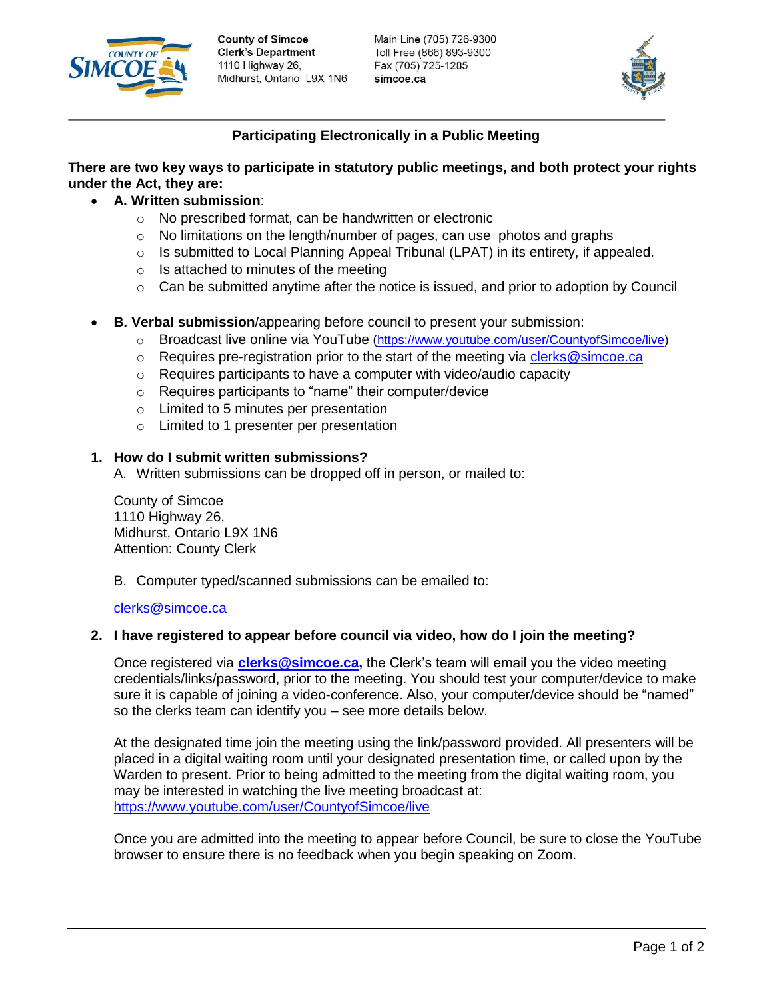

**County of Simcoe Clerk's Department** 1110 Highway 26, Midhurst, Ontario L9X 1N6 Main Line (705) 726-9300 Toll Free (866) 893-9300 Fax (705) 725-1285 simcoe.ca



# **Participating Electronically in a Public Meeting**

# **There are two key ways to participate in statutory public meetings, and both protect your rights under the Act, they are:**

- **A. Written submission**:
	- o No prescribed format, can be handwritten or electronic
	- $\circ$  No limitations on the length/number of pages, can use photos and graphs
	- $\circ$  Is submitted to Local Planning Appeal Tribunal (LPAT) in its entirety, if appealed.
	- $\circ$  Is attached to minutes of the meeting
	- $\circ$  Can be submitted anytime after the notice is issued, and prior to adoption by Council
- **B. Verbal submission**/appearing before council to present your submission:
	- o Broadcast live online via YouTube [\(https://www.youtube.com/user/CountyofSimcoe/live\)](https://www.youtube.com/user/CountyofSimcoe/live)
	- $\circ$  Requires pre-registration prior to the start of the meeting via [clerks@simcoe.ca](mailto:clerks@simcoe.ca)
	- o Requires participants to have a computer with video/audio capacity
	- o Requires participants to "name" their computer/device
	- o Limited to 5 minutes per presentation
	- o Limited to 1 presenter per presentation

# **1. How do I submit written submissions?**

A. Written submissions can be dropped off in person, or mailed to:

County of Simcoe 1110 Highway 26, Midhurst, Ontario L9X 1N6 Attention: County Clerk

B. Computer typed/scanned submissions can be emailed to:

### [clerks@simcoe.ca](mailto:clerks@simcoe.ca)

### **2. I have registered to appear before council via video, how do I join the meeting?**

Once registered via **[clerks@simcoe.ca,](mailto:clerks@simcoe.ca)** the Clerk's team will email you the video meeting credentials/links/password, prior to the meeting. You should test your computer/device to make sure it is capable of joining a video-conference. Also, your computer/device should be "named" so the clerks team can identify you – see more details below.

At the designated time join the meeting using the link/password provided. All presenters will be placed in a digital waiting room until your designated presentation time, or called upon by the Warden to present. Prior to being admitted to the meeting from the digital waiting room, you may be interested in watching the live meeting broadcast at: <https://www.youtube.com/user/CountyofSimcoe/live>

Once you are admitted into the meeting to appear before Council, be sure to close the YouTube browser to ensure there is no feedback when you begin speaking on Zoom.